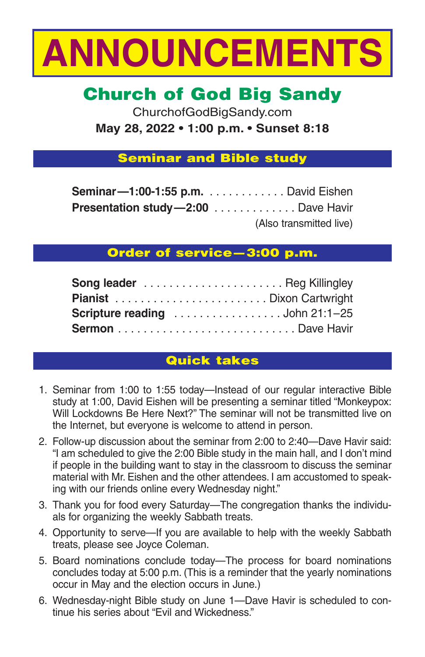

# **Church of God Big Sandy**

ChurchofGodBigSandy.com **May 28, 2022 • 1:00 p.m. • Sunset 8:18**

### **Seminar and Bible study**

| <b>Seminar-1:00-1:55 p.m.</b> David Eishen |                         |
|--------------------------------------------|-------------------------|
| <b>Presentation study-2:00</b> Dave Havir  |                         |
|                                            | (Also transmitted live) |

# **Order of service—3:00 p.m.**

| <b>Song leader</b> Reg Killingley |  |
|-----------------------------------|--|
|                                   |  |
|                                   |  |
|                                   |  |

# **Quick takes**

- 1. Seminar from 1:00 to 1:55 today—Instead of our regular interactive Bible study at 1:00, David Eishen will be presenting a seminar titled "Monkeypox: Will Lockdowns Be Here Next?" The seminar will not be transmitted live on the Internet, but everyone is welcome to attend in person.
- 2. Follow-up discussion about the seminar from 2:00 to 2:40—Dave Havir said: "I am scheduled to give the 2:00 Bible study in the main hall, and I don't mind if people in the building want to stay in the classroom to discuss the seminar material with Mr. Eishen and the other attendees. I am accustomed to speaking with our friends online every Wednesday night."
- 3. Thank you for food every Saturday—The congregation thanks the individuals for organizing the weekly Sabbath treats.
- 4. Opportunity to serve—If you are available to help with the weekly Sabbath treats, please see Joyce Coleman.
- 5. Board nominations conclude today—The process for board nominations concludes today at 5:00 p.m. (This is a reminder that the yearly nominations occur in May and the election occurs in June.)
- 6. Wednesday-night Bible study on June 1—Dave Havir is scheduled to continue his series about "Evil and Wickedness."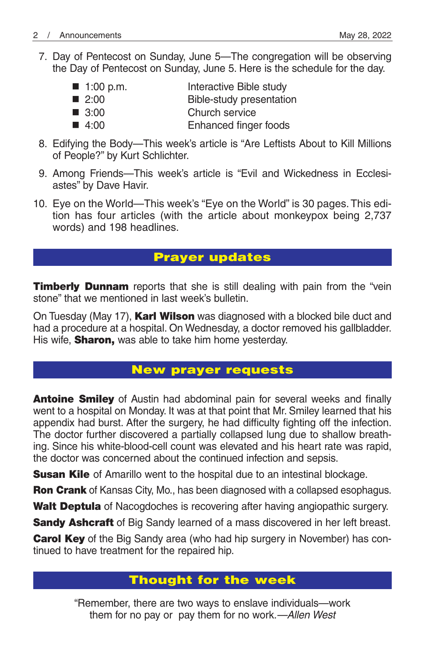7. Day of Pentecost on Sunday, June 5—The congregation will be observing the Day of Pentecost on Sunday, June 5. Here is the schedule for the day.

| $\blacksquare$ 1:00 p.m. | Interactive Bible study  |
|--------------------------|--------------------------|
| $\blacksquare$ 2:00      | Bible-study presentation |
| $\blacksquare$ 3:00      | Church service           |
| $\blacksquare$ 4:00      | Enhanced finger foods    |

- 8. Edifying the Body—This week's article is "Are Leftists About to Kill Millions of People?" by Kurt Schlichter.
- 9. Among Friends—This week's article is "Evil and Wickedness in Ecclesiastes" by Dave Havir.
- 10. Eye on the World—This week's "Eye on the World" is 30 pages. This edition has four articles (with the article about monkeypox being 2,737 words) and 198 headlines.

# **Prayer updates**

**Timberly Dunnam** reports that she is still dealing with pain from the "vein" stone" that we mentioned in last week's bulletin.

On Tuesday (May 17), **Karl Wilson** was diagnosed with a blocked bile duct and had a procedure at a hospital. On Wednesday, a doctor removed his gallbladder. His wife, **Sharon,** was able to take him home yesterday.

# **New prayer requests**

**Antoine Smiley** of Austin had abdominal pain for several weeks and finally went to a hospital on Monday. It was at that point that Mr. Smiley learned that his appendix had burst. After the surgery, he had difficulty fighting off the infection. The doctor further discovered a partially collapsed lung due to shallow breathing. Since his white-blood-cell count was elevated and his heart rate was rapid, the doctor was concerned about the continued infection and sepsis.

**Susan Kile** of Amarillo went to the hospital due to an intestinal blockage.

**Ron Crank** of Kansas City, Mo., has been diagnosed with a collapsed esophagus.

**Walt Deptula** of Nacogdoches is recovering after having angiopathic surgery.

**Sandy Ashcraft** of Big Sandy learned of a mass discovered in her left breast.

**Carol Key** of the Big Sandy area (who had hip surgery in November) has continued to have treatment for the repaired hip.

# **Thought for the week**

"Remember, there are two ways to enslave individuals—work them for no pay or pay them for no work.*—Allen West*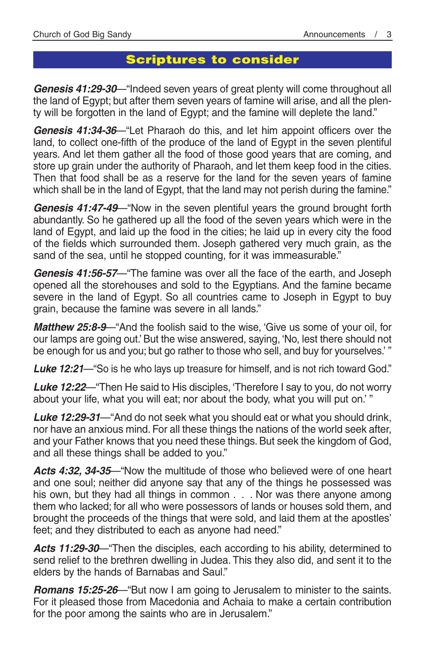# **Scriptures to consider**

*Genesis 41:29-30*—"Indeed seven years of great plenty will come throughout all the land of Egypt; but after them seven years of famine will arise, and all the plenty will be forgotten in the land of Egypt; and the famine will deplete the land."

*Genesis 41:34-36*—"Let Pharaoh do this, and let him appoint officers over the land, to collect one-fifth of the produce of the land of Egypt in the seven plentiful years. And let them gather all the food of those good years that are coming, and store up grain under the authority of Pharaoh, and let them keep food in the cities. Then that food shall be as a reserve for the land for the seven years of famine which shall be in the land of Egypt, that the land may not perish during the famine."

*Genesis 41:47-49*—"Now in the seven plentiful years the ground brought forth abundantly. So he gathered up all the food of the seven years which were in the land of Egypt, and laid up the food in the cities; he laid up in every city the food of the fields which surrounded them. Joseph gathered very much grain, as the sand of the sea, until he stopped counting, for it was immeasurable."

*Genesis 41:56-57*—"The famine was over all the face of the earth, and Joseph opened all the storehouses and sold to the Egyptians. And the famine became severe in the land of Egypt. So all countries came to Joseph in Egypt to buy grain, because the famine was severe in all lands."

*Matthew 25:8-9*—"And the foolish said to the wise, 'Give us some of your oil, for our lamps are going out.' But the wise answered, saying, 'No, lest there should not be enough for us and you; but go rather to those who sell, and buy for yourselves.' "

*Luke 12:21*—"So is he who lays up treasure for himself, and is not rich toward God."

*Luke 12:22*—"Then He said to His disciples, 'Therefore I say to you, do not worry about your life, what you will eat; nor about the body, what you will put on.' "

*Luke 12:29-31*—"And do not seek what you should eat or what you should drink, nor have an anxious mind. For all these things the nations of the world seek after, and your Father knows that you need these things. But seek the kingdom of God, and all these things shall be added to you."

*Acts 4:32, 34-35*—"Now the multitude of those who believed were of one heart and one soul; neither did anyone say that any of the things he possessed was his own, but they had all things in common . . . Nor was there anyone among them who lacked; for all who were possessors of lands or houses sold them, and brought the proceeds of the things that were sold, and laid them at the apostles' feet; and they distributed to each as anyone had need."

*Acts 11:29-30*—"Then the disciples, each according to his ability, determined to send relief to the brethren dwelling in Judea. This they also did, and sent it to the elders by the hands of Barnabas and Saul."

*Romans 15:25-26*—"But now I am going to Jerusalem to minister to the saints. For it pleased those from Macedonia and Achaia to make a certain contribution for the poor among the saints who are in Jerusalem."